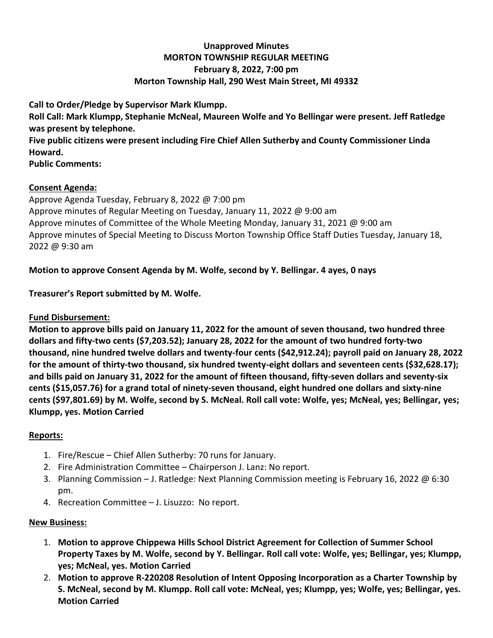## **Unapproved Minutes MORTON TOWNSHIP REGULAR MEETING February 8, 2022, 7:00 pm Morton Township Hall, 290 West Main Street, MI 49332**

**Call to Order/Pledge by Supervisor Mark Klumpp. Roll Call: Mark Klumpp, Stephanie McNeal, Maureen Wolfe and Yo Bellingar were present. Jeff Ratledge was present by telephone. Five public citizens were present including Fire Chief Allen Sutherby and County Commissioner Linda Howard. Public Comments:** 

## **Consent Agenda:**

Approve Agenda Tuesday, February 8, 2022 @ 7:00 pm Approve minutes of Regular Meeting on Tuesday, January 11, 2022 @ 9:00 am Approve minutes of Committee of the Whole Meeting Monday, January 31, 2021 @ 9:00 am Approve minutes of Special Meeting to Discuss Morton Township Office Staff Duties Tuesday, January 18, 2022 @ 9:30 am

# **Motion to approve Consent Agenda by M. Wolfe, second by Y. Bellingar. 4 ayes, 0 nays**

**Treasurer's Report submitted by M. Wolfe.**

# **Fund Disbursement:**

**Motion to approve bills paid on January 11, 2022 for the amount of seven thousand, two hundred three dollars and fifty-two cents (\$7,203.52); January 28, 2022 for the amount of two hundred forty-two thousand, nine hundred twelve dollars and twenty-four cents (\$42,912.24); payroll paid on January 28, 2022 for the amount of thirty-two thousand, six hundred twenty-eight dollars and seventeen cents (\$32,628.17); and bills paid on January 31, 2022 for the amount of fifteen thousand, fifty-seven dollars and seventy-six cents (\$15,057.76) for a grand total of ninety-seven thousand, eight hundred one dollars and sixty-nine cents (\$97,801.69) by M. Wolfe, second by S. McNeal. Roll call vote: Wolfe, yes; McNeal, yes; Bellingar, yes; Klumpp, yes. Motion Carried**

# **Reports:**

- 1. Fire/Rescue Chief Allen Sutherby: 70 runs for January.
- 2. Fire Administration Committee Chairperson J. Lanz: No report.
- 3. Planning Commission J. Ratledge: Next Planning Commission meeting is February 16, 2022 @ 6:30 pm.
- 4. Recreation Committee J. Lisuzzo: No report.

# **New Business:**

- 1. **Motion to approve Chippewa Hills School District Agreement for Collection of Summer School Property Taxes by M. Wolfe, second by Y. Bellingar. Roll call vote: Wolfe, yes; Bellingar, yes; Klumpp, yes; McNeal, yes. Motion Carried**
- 2. **Motion to approve R-220208 Resolution of Intent Opposing Incorporation as a Charter Township by S. McNeal, second by M. Klumpp. Roll call vote: McNeal, yes; Klumpp, yes; Wolfe, yes; Bellingar, yes. Motion Carried**